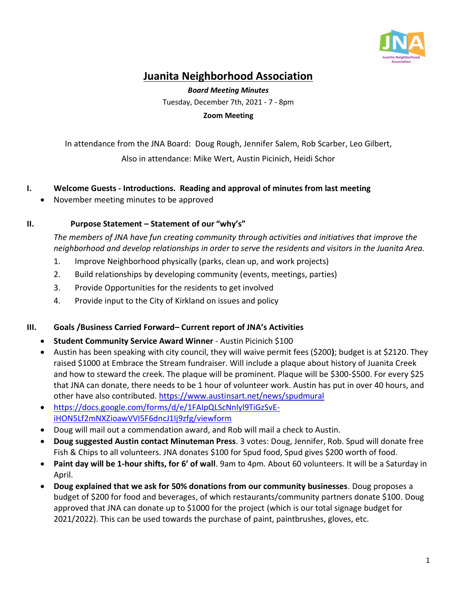

# **Juanita Neighborhood Association**

*Board Meeting Minutes* Tuesday, December 7th, 2021 - 7 - 8pm **Zoom Meeting**

In attendance from the JNA Board: Doug Rough, Jennifer Salem, Rob Scarber, Leo Gilbert, Also in attendance: Mike Wert, Austin Picinich, Heidi Schor

- **I. Welcome Guests - Introductions. Reading and approval of minutes from last meeting**
	- November meeting minutes to be approved

### **II. Purpose Statement – Statement of our "why's"**

*The members of JNA have fun creating community through activities and initiatives that improve the neighborhood and develop relationships in order to serve the residents and visitors in the Juanita Area.*

- 1. Improve Neighborhood physically (parks, clean up, and work projects)
- 2. Build relationships by developing community (events, meetings, parties)
- 3. Provide Opportunities for the residents to get involved
- 4. Provide input to the City of Kirkland on issues and policy

#### **III. Goals /Business Carried Forward– Current report of JNA's Activities**

- **Student Community Service Award Winner** Austin Picinich \$100
- Austin has been speaking with city council, they will waive permit fees (\$200**)**; budget is at \$2120. They raised \$1000 at Embrace the Stream fundraiser. Will include a plaque about history of Juanita Creek and how to steward the creek. The plaque will be prominent. Plaque will be \$300-\$500. For every \$25 that JNA can donate, there needs to be 1 hour of volunteer work. Austin has put in over 40 hours, and other have also contributed.<https://www.austinsart.net/news/spudmural>
- [https://docs.google.com/forms/d/e/1FAIpQLScNnlyl9TiGzSvE](https://docs.google.com/forms/d/e/1FAIpQLScNnlyl9TiGzSvE-iHON5Lf2mNXZioawVVI5F6dncJ1Ij9zfg/viewform)[iHON5Lf2mNXZioawVVI5F6dncJ1Ij9zfg/viewform](https://docs.google.com/forms/d/e/1FAIpQLScNnlyl9TiGzSvE-iHON5Lf2mNXZioawVVI5F6dncJ1Ij9zfg/viewform)
- Doug will mail out a commendation award, and Rob will mail a check to Austin.
- **Doug suggested Austin contact Minuteman Press**. 3 votes: Doug, Jennifer, Rob. Spud will donate free Fish & Chips to all volunteers. JNA donates \$100 for Spud food, Spud gives \$200 worth of food.
- **Paint day will be 1-hour shifts, for 6' of wall**. 9am to 4pm. About 60 volunteers. It will be a Saturday in April.
- **Doug explained that we ask for 50% donations from our community businesses**. Doug proposes a budget of \$200 for food and beverages, of which restaurants/community partners donate \$100. Doug approved that JNA can donate up to \$1000 for the project (which is our total signage budget for 2021/2022). This can be used towards the purchase of paint, paintbrushes, gloves, etc.